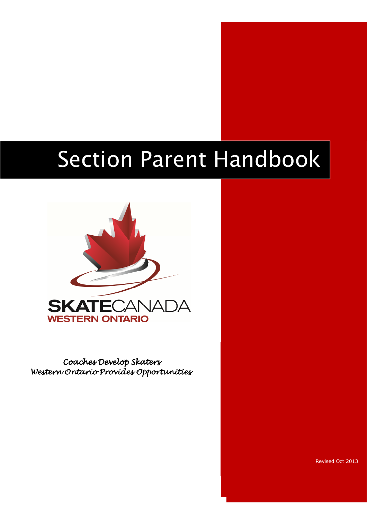# Section Parent Handbook



Coaches Develop Skaters Western Ontario Provides Opportunities

Revised Oct 2013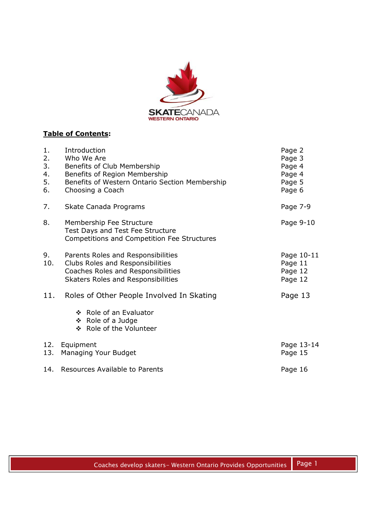

## **Table of Contents:**

| 1.<br>2.<br>3.<br>4.<br>5.<br>6. | Introduction<br>Who We Are<br>Benefits of Club Membership<br>Benefits of Region Membership<br>Benefits of Western Ontario Section Membership<br>Choosing a Coach | Page 2<br>Page 3<br>Page 4<br>Page 4<br>Page 5<br>Page 6 |
|----------------------------------|------------------------------------------------------------------------------------------------------------------------------------------------------------------|----------------------------------------------------------|
| 7.                               | Skate Canada Programs                                                                                                                                            | Page 7-9                                                 |
| 8.                               | Membership Fee Structure<br>Test Days and Test Fee Structure<br>Competitions and Competition Fee Structures                                                      | Page 9-10                                                |
| 9.<br>10.                        | Parents Roles and Responsibilities<br>Clubs Roles and Responsibilities<br>Coaches Roles and Responsibilities<br>Skaters Roles and Responsibilities               | Page 10-11<br>Page 11<br>Page 12<br>Page 12              |
| 11.                              | Roles of Other People Involved In Skating                                                                                                                        | Page 13                                                  |
|                                  | ❖ Role of an Evaluator<br>❖ Role of a Judge<br>❖ Role of the Volunteer                                                                                           |                                                          |
| 13.                              | 12. Equipment<br>Managing Your Budget                                                                                                                            | Page 13-14<br>Page 15                                    |
|                                  | 14. Resources Available to Parents                                                                                                                               | Page 16                                                  |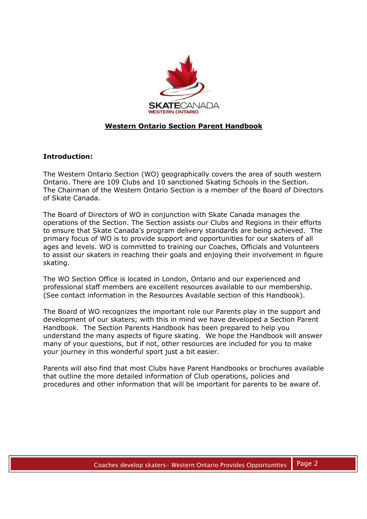

## **Western Ontario Section Parent Handbook**

## **Introduction:**

The Western Ontario Section (WO) geographically covers the area of south western Ontario. There are 109 Clubs and 10 sanctioned Skating Schools in the Section. The Chairman of the Western Ontario Section is a member of the Board of Directors of Skate Canada.

The Board of Directors of WO in conjunction with Skate Canada manages the operations of the Section. The Section assists our Clubs and Regions in their efforts to ensure that Skate Canada's program delivery standards are being achieved. The primary focus of WO is to provide support and opportunities for our skaters of all ages and levels. WO is committed to training our Coaches, Officials and Volunteers to assist our skaters in reaching their goals and enjoying their involvement in figure skating.

The WO Section Office is located in London, Ontario and our experienced and professional staff members are excellent resources available to our membership. (See contact information in the Resources Available section of this Handbook).

The Board of WO recognizes the important role our Parents play in the support and development of our skaters; with this in mind we have developed a Section Parent Handbook. The Section Parents Handbook has been prepared to help you understand the many aspects of figure skating. We hope the Handbook will answer many of your questions, but if not, other resources are included for you to make your journey in this wonderful sport just a bit easier.

Parents will also find that most Clubs have Parent Handbooks or brochures available that outline the more detailed information of Club operations, policies and procedures and other information that will be important for parents to be aware of.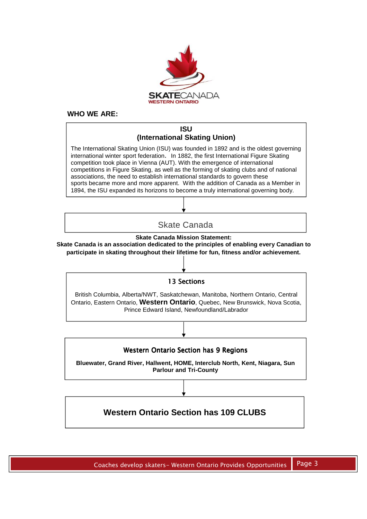

#### **WHO WE ARE:**

#### **ISU (International Skating Union)**

The International Skating Union (ISU) was founded in 1892 and is the oldest governing international winter sport federation. In 1882, the first International Figure Skating competition took place in Vienna (AUT). With the emergence of international competitions in Figure Skating, as well as the forming of skating clubs and of national associations, the need to establish international standards to govern these sports became more and more apparent. With the addition of Canada as a Member in 1894, the ISU expanded its horizons to become a truly international governing body.

## Skate Canada

**Skate Canada Mission Statement:** 

**Skate Canada is an association dedicated to the principles of enabling every Canadian to participate in skating throughout their lifetime for fun, fitness and/or achievement.** 

#### 13 Sections

British Columbia, Alberta/NWT, Saskatchewan, Manitoba, Northern Ontario, Central Ontario, Eastern Ontario, **Western Ontario**, Quebec, New Brunswick, Nova Scotia, Prince Edward Island, Newfoundland/Labrador



**Bluewater, Grand River, Hallwent, HOME, Interclub North, Kent, Niagara, Sun Parlour and Tri-County** 

# **Western Ontario Section has 109 CLUBS**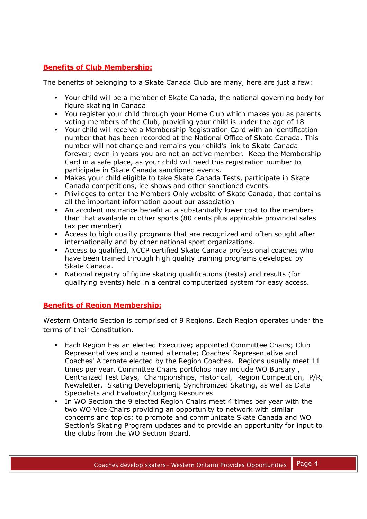## **Benefits of Club Membership:**

The benefits of belonging to a Skate Canada Club are many, here are just a few:

- Your child will be a member of Skate Canada, the national governing body for figure skating in Canada
- You register your child through your Home Club which makes you as parents voting members of the Club, providing your child is under the age of 18
- Your child will receive a Membership Registration Card with an identification number that has been recorded at the National Office of Skate Canada. This number will not change and remains your child's link to Skate Canada forever; even in years you are not an active member. Keep the Membership Card in a safe place, as your child will need this registration number to participate in Skate Canada sanctioned events.
- Makes your child eligible to take Skate Canada Tests, participate in Skate Canada competitions, ice shows and other sanctioned events.
- Privileges to enter the Members Only website of Skate Canada, that contains all the important information about our association
- An accident insurance benefit at a substantially lower cost to the members than that available in other sports (80 cents plus applicable provincial sales tax per member)
- Access to high quality programs that are recognized and often sought after internationally and by other national sport organizations.
- Access to qualified, NCCP certified Skate Canada professional coaches who have been trained through high quality training programs developed by Skate Canada.
- National registry of figure skating qualifications (tests) and results (for qualifying events) held in a central computerized system for easy access.

## **Benefits of Region Membership:**

Western Ontario Section is comprised of 9 Regions. Each Region operates under the terms of their Constitution.

- Each Region has an elected Executive; appointed Committee Chairs; Club Representatives and a named alternate; Coaches' Representative and Coaches' Alternate elected by the Region Coaches. Regions usually meet 11 times per year. Committee Chairs portfolios may include WO Bursary , Centralized Test Days, Championships, Historical, Region Competition, P/R, Newsletter, Skating Development, Synchronized Skating, as well as Data Specialists and Evaluator/Judging Resources
- In WO Section the 9 elected Region Chairs meet 4 times per year with the two WO Vice Chairs providing an opportunity to network with similar concerns and topics; to promote and communicate Skate Canada and WO Section's Skating Program updates and to provide an opportunity for input to the clubs from the WO Section Board.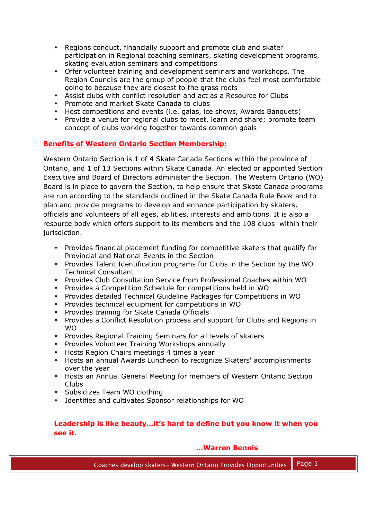- Regions conduct, financially support and promote club and skater participation in Regional coaching seminars, skating development programs, skating evaluation seminars and competitions
- Offer volunteer training and development seminars and workshops. The Region Councils are the group of people that the clubs feel most comfortable going to because they are closest to the grass roots
- Assist clubs with conflict resolution and act as a Resource for Clubs
- Promote and market Skate Canada to clubs
- Host competitions and events (i.e. galas, ice shows, Awards Banquets)
- Provide a venue for regional clubs to meet, learn and share; promote team concept of clubs working together towards common goals

## **Benefits of Western Ontario Section Membership:**

Western Ontario Section is 1 of 4 Skate Canada Sections within the province of Ontario, and 1 of 13 Sections within Skate Canada. An elected or appointed Section Executive and Board of Directors administer the Section. The Western Ontario (WO) Board is in place to govern the Section, to help ensure that Skate Canada programs are run according to the standards outlined in the Skate Canada Rule Book and to plan and provide programs to develop and enhance participation by skaters, officials and volunteers of all ages, abilities, interests and ambitions. It is also a resource body which offers support to its members and the 108 clubs within their jurisdiction.

- Provides financial placement funding for competitive skaters that qualify for Provincial and National Events in the Section
- Provides Talent Identification programs for Clubs in the Section by the WO Technical Consultant
- Provides Club Consultation Service from Professional Coaches within WO
- Provides a Competition Schedule for competitions held in WO
- Provides detailed Technical Guideline Packages for Competitions in WO
- Provides technical equipment for competitions in WO
- Provides training for Skate Canada Officials
- Provides a Conflict Resolution process and support for Clubs and Regions in **WO**
- Provides Regional Training Seminars for all levels of skaters
- Provides Volunteer Training Workshops annually
- Hosts Region Chairs meetings 4 times a year
- Hosts an annual Awards Luncheon to recognize Skaters' accomplishments over the year
- Hosts an Annual General Meeting for members of Western Ontario Section Clubs
- Subsidizes Team WO clothing
- Identifies and cultivates Sponsor relationships for WO

## **Leadership is like beauty…it's hard to define but you know it when you see it.**

## **…Warren Bennis**

Coaches develop skaters- Western Ontario Provides Opportunities | Page 5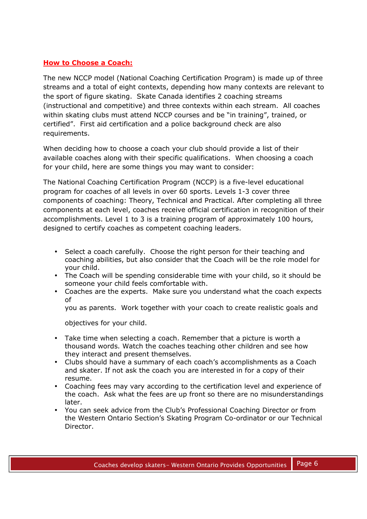## **How to Choose a Coach:**

The new NCCP model (National Coaching Certification Program) is made up of three streams and a total of eight contexts, depending how many contexts are relevant to the sport of figure skating. Skate Canada identifies 2 coaching streams (instructional and competitive) and three contexts within each stream. All coaches within skating clubs must attend NCCP courses and be "in training", trained, or certified". First aid certification and a police background check are also requirements.

When deciding how to choose a coach your club should provide a list of their available coaches along with their specific qualifications. When choosing a coach for your child, here are some things you may want to consider:

The National Coaching Certification Program (NCCP) is a five-level educational program for coaches of all levels in over 60 sports. Levels 1-3 cover three components of coaching: Theory, Technical and Practical. After completing all three components at each level, coaches receive official certification in recognition of their accomplishments. Level 1 to 3 is a training program of approximately 100 hours, designed to certify coaches as competent coaching leaders.

- Select a coach carefully. Choose the right person for their teaching and coaching abilities, but also consider that the Coach will be the role model for your child.
- The Coach will be spending considerable time with your child, so it should be someone your child feels comfortable with.
- Coaches are the experts. Make sure you understand what the coach expects of

you as parents. Work together with your coach to create realistic goals and

objectives for your child.

- Take time when selecting a coach. Remember that a picture is worth a thousand words. Watch the coaches teaching other children and see how they interact and present themselves.
- Clubs should have a summary of each coach's accomplishments as a Coach and skater. If not ask the coach you are interested in for a copy of their resume.
- Coaching fees may vary according to the certification level and experience of the coach. Ask what the fees are up front so there are no misunderstandings later.
- You can seek advice from the Club's Professional Coaching Director or from the Western Ontario Section's Skating Program Co-ordinator or our Technical Director.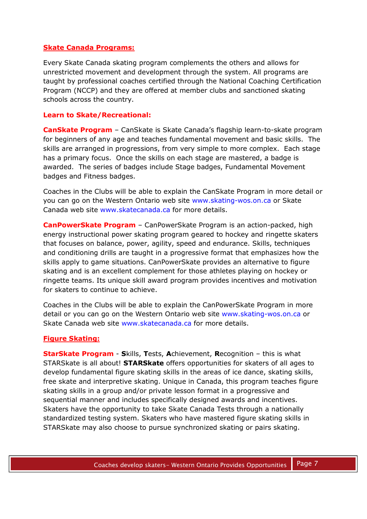## **Skate Canada Programs:**

Every Skate Canada skating program complements the others and allows for unrestricted movement and development through the system. All programs are taught by professional coaches certified through the National Coaching Certification Program (NCCP) and they are offered at member clubs and sanctioned skating schools across the country.

## **Learn to Skate/Recreational:**

**CanSkate Program** – CanSkate is Skate Canada's flagship learn-to-skate program for beginners of any age and teaches fundamental movement and basic skills. The skills are arranged in progressions, from very simple to more complex. Each stage has a primary focus. Once the skills on each stage are mastered, a badge is awarded. The series of badges include Stage badges, Fundamental Movement badges and Fitness badges.

Coaches in the Clubs will be able to explain the CanSkate Program in more detail or you can go on the Western Ontario web site www.skating-wos.on.ca or Skate Canada web site www.skatecanada.ca for more details.

**CanPowerSkate Program** – CanPowerSkate Program is an action-packed, high energy instructional power skating program geared to hockey and ringette skaters that focuses on balance, power, agility, speed and endurance. Skills, techniques and conditioning drills are taught in a progressive format that emphasizes how the skills apply to game situations. CanPowerSkate provides an alternative to figure skating and is an excellent complement for those athletes playing on hockey or ringette teams. Its unique skill award program provides incentives and motivation for skaters to continue to achieve.

Coaches in the Clubs will be able to explain the CanPowerSkate Program in more detail or you can go on the Western Ontario web site www.skating-wos.on.ca or Skate Canada web site www.skatecanada.ca for more details.

## **Figure Skating:**

**StarSkate Program** - **S**kills, **T**ests, **A**chievement, **R**ecognition – this is what STARSkate is all about! **STARSkate** offers opportunities for skaters of all ages to develop fundamental figure skating skills in the areas of ice dance, skating skills, free skate and interpretive skating. Unique in Canada, this program teaches figure skating skills in a group and/or private lesson format in a progressive and sequential manner and includes specifically designed awards and incentives. Skaters have the opportunity to take Skate Canada Tests through a nationally standardized testing system. Skaters who have mastered figure skating skills in STARSkate may also choose to pursue synchronized skating or pairs skating.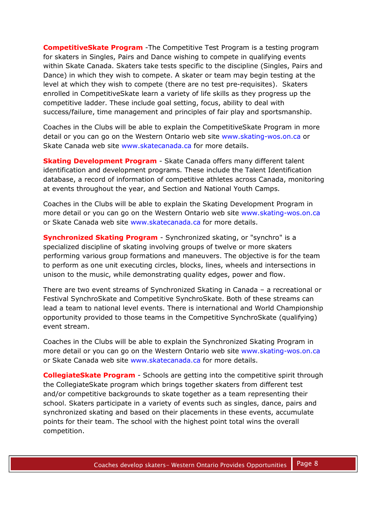**CompetitiveSkate Program** -The Competitive Test Program is a testing program for skaters in Singles, Pairs and Dance wishing to compete in qualifying events within Skate Canada. Skaters take tests specific to the discipline (Singles, Pairs and Dance) in which they wish to compete. A skater or team may begin testing at the level at which they wish to compete (there are no test pre-requisites). Skaters enrolled in CompetitiveSkate learn a variety of life skills as they progress up the competitive ladder. These include goal setting, focus, ability to deal with success/failure, time management and principles of fair play and sportsmanship.

Coaches in the Clubs will be able to explain the CompetitiveSkate Program in more detail or you can go on the Western Ontario web site www.skating-wos.on.ca or Skate Canada web site www.skatecanada.ca for more details.

**Skating Development Program** - Skate Canada offers many different talent identification and development programs. These include the Talent Identification database, a record of information of competitive athletes across Canada, monitoring at events throughout the year, and Section and National Youth Camps.

Coaches in the Clubs will be able to explain the Skating Development Program in more detail or you can go on the Western Ontario web site www.skating-wos.on.ca or Skate Canada web site www.skatecanada.ca for more details.

**Synchronized Skating Program** - Synchronized skating, or "synchro" is a specialized discipline of skating involving groups of twelve or more skaters performing various group formations and maneuvers. The objective is for the team to perform as one unit executing circles, blocks, lines, wheels and intersections in unison to the music, while demonstrating quality edges, power and flow.

There are two event streams of Synchronized Skating in Canada – a recreational or Festival SynchroSkate and Competitive SynchroSkate. Both of these streams can lead a team to national level events. There is international and World Championship opportunity provided to those teams in the Competitive SynchroSkate (qualifying) event stream.

Coaches in the Clubs will be able to explain the Synchronized Skating Program in more detail or you can go on the Western Ontario web site www.skating-wos.on.ca or Skate Canada web site www.skatecanada.ca for more details.

**CollegiateSkate Program** - Schools are getting into the competitive spirit through the CollegiateSkate program which brings together skaters from different test and/or competitive backgrounds to skate together as a team representing their school. Skaters participate in a variety of events such as singles, dance, pairs and synchronized skating and based on their placements in these events, accumulate points for their team. The school with the highest point total wins the overall competition.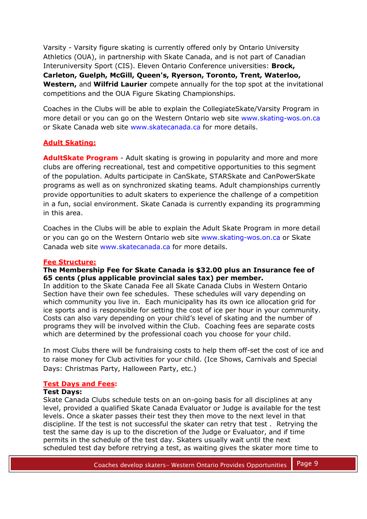Varsity - Varsity figure skating is currently offered only by Ontario University Athletics (OUA), in partnership with Skate Canada, and is not part of Canadian Interuniversity Sport (CIS). Eleven Ontario Conference universities: **Brock, Carleton, Guelph, McGill, Queen's, Ryerson, Toronto, Trent, Waterloo, Western,** and **Wilfrid Laurier** compete annually for the top spot at the invitational competitions and the OUA Figure Skating Championships.

Coaches in the Clubs will be able to explain the CollegiateSkate/Varsity Program in more detail or you can go on the Western Ontario web site www.skating-wos.on.ca or Skate Canada web site www.skatecanada.ca for more details.

## **Adult Skating:**

**AdultSkate Program** - Adult skating is growing in popularity and more and more clubs are offering recreational, test and competitive opportunities to this segment of the population. Adults participate in CanSkate, STARSkate and CanPowerSkate programs as well as on synchronized skating teams. Adult championships currently provide opportunities to adult skaters to experience the challenge of a competition in a fun, social environment. Skate Canada is currently expanding its programming in this area.

Coaches in the Clubs will be able to explain the Adult Skate Program in more detail or you can go on the Western Ontario web site www.skating-wos.on.ca or Skate Canada web site www.skatecanada.ca for more details.

## **Fee Structure:**

## **The Membership Fee for Skate Canada is \$32.00 plus an Insurance fee of 65 cents (plus applicable provincial sales tax) per member.**

In addition to the Skate Canada Fee all Skate Canada Clubs in Western Ontario Section have their own fee schedules. These schedules will vary depending on which community you live in. Each municipality has its own ice allocation grid for ice sports and is responsible for setting the cost of ice per hour in your community. Costs can also vary depending on your child's level of skating and the number of programs they will be involved within the Club. Coaching fees are separate costs which are determined by the professional coach you choose for your child.

In most Clubs there will be fundraising costs to help them off-set the cost of ice and to raise money for Club activities for your child. (Ice Shows, Carnivals and Special Days: Christmas Party, Halloween Party, etc.)

## **Test Days and Fees:**

## **Test Days:**

Skate Canada Clubs schedule tests on an on-going basis for all disciplines at any level, provided a qualified Skate Canada Evaluator or Judge is available for the test levels. Once a skater passes their test they then move to the next level in that discipline. If the test is not successful the skater can retry that test . Retrying the test the same day is up to the discretion of the Judge or Evaluator, and if time permits in the schedule of the test day. Skaters usually wait until the next scheduled test day before retrying a test, as waiting gives the skater more time to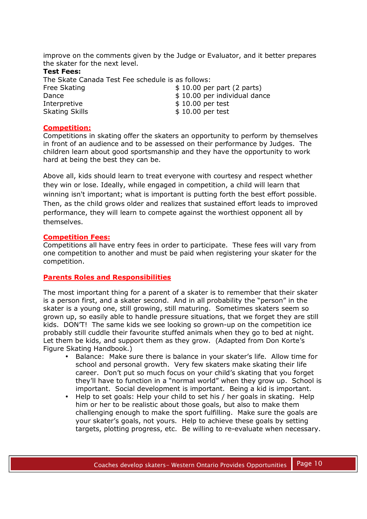improve on the comments given by the Judge or Evaluator, and it better prepares the skater for the next level.

#### **Test Fees:**

The Skate Canada Test Fee schedule is as follows:

| Free Skating          | $$10.00$ per part (2 parts)  |
|-----------------------|------------------------------|
| Dance                 | \$10.00 per individual dance |
| Interpretive          | $$10.00$ per test            |
| <b>Skating Skills</b> | $$10.00$ per test            |

## **Competition:**

Competitions in skating offer the skaters an opportunity to perform by themselves in front of an audience and to be assessed on their performance by Judges. The children learn about good sportsmanship and they have the opportunity to work hard at being the best they can be.

Above all, kids should learn to treat everyone with courtesy and respect whether they win or lose. Ideally, while engaged in competition, a child will learn that winning isn't important; what is important is putting forth the best effort possible. Then, as the child grows older and realizes that sustained effort leads to improved performance, they will learn to compete against the worthiest opponent all by themselves.

## **Competition Fees:**

Competitions all have entry fees in order to participate. These fees will vary from one competition to another and must be paid when registering your skater for the competition.

## **Parents Roles and Responsibilities**

The most important thing for a parent of a skater is to remember that their skater is a person first, and a skater second. And in all probability the "person" in the skater is a young one, still growing, still maturing. Sometimes skaters seem so grown up, so easily able to handle pressure situations, that we forget they are still kids. DON'T! The same kids we see looking so grown-up on the competition ice probably still cuddle their favourite stuffed animals when they go to bed at night. Let them be kids, and support them as they grow. (Adapted from Don Korte's Figure Skating Handbook.)

- Balance: Make sure there is balance in your skater's life. Allow time for school and personal growth. Very few skaters make skating their life career. Don't put so much focus on your child's skating that you forget they'll have to function in a "normal world" when they grow up. School is important. Social development is important. Being a kid is important.
- Help to set goals: Help your child to set his / her goals in skating. Help him or her to be realistic about those goals, but also to make them challenging enough to make the sport fulfilling. Make sure the goals are your skater's goals, not yours. Help to achieve these goals by setting targets, plotting progress, etc. Be willing to re-evaluate when necessary.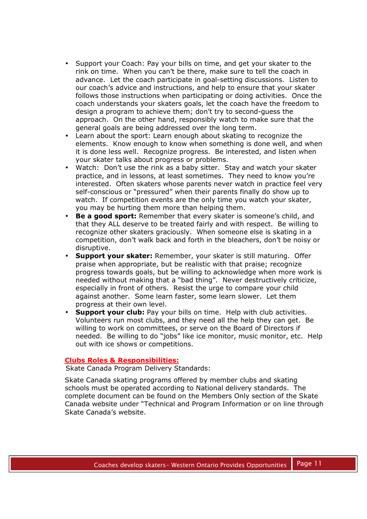- Support your Coach: Pay your bills on time, and get your skater to the rink on time. When you can't be there, make sure to tell the coach in advance. Let the coach participate in goal-setting discussions. Listen to our coach's advice and instructions, and help to ensure that your skater follows those instructions when participating or doing activities. Once the coach understands your skaters goals, let the coach have the freedom to design a program to achieve them; don't try to second-guess the approach. On the other hand, responsibly watch to make sure that the general goals are being addressed over the long term.
- Learn about the sport: Learn enough about skating to recognize the elements. Know enough to know when something is done well, and when it is done less well. Recognize progress. Be interested, and listen when your skater talks about progress or problems.
- Watch: Don't use the rink as a baby sitter. Stay and watch your skater practice, and in lessons, at least sometimes. They need to know you're interested. Often skaters whose parents never watch in practice feel very self-conscious or "pressured" when their parents finally do show up to watch. If competition events are the only time you watch your skater, you may be hurting them more than helping them.
- **Be a good sport:** Remember that every skater is someone's child, and that they ALL deserve to be treated fairly and with respect. Be willing to recognize other skaters graciously. When someone else is skating in a competition, don't walk back and forth in the bleachers, don't be noisy or disruptive.
- **Support your skater:** Remember, your skater is still maturing. Offer praise when appropriate, but be realistic with that praise; recognize progress towards goals, but be willing to acknowledge when more work is needed without making that a "bad thing". Never destructively criticize, especially in front of others. Resist the urge to compare your child against another. Some learn faster, some learn slower. Let them progress at their own level.
- **Support your club:** Pay your bills on time. Help with club activities. Volunteers run most clubs, and they need all the help they can get. Be willing to work on committees, or serve on the Board of Directors if needed. Be willing to do "jobs" like ice monitor, music monitor, etc. Help out with ice shows or competitions.

## **Clubs Roles & Responsibilities:**

Skate Canada Program Delivery Standards:

Skate Canada skating programs offered by member clubs and skating schools must be operated according to National delivery standards. The complete document can be found on the Members Only section of the Skate Canada website under "Technical and Program Information or on line through Skate Canada's website.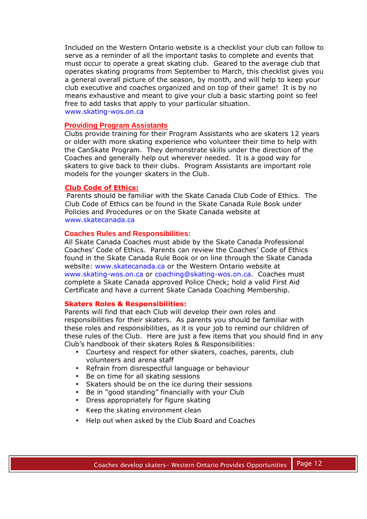Included on the Western Ontario website is a checklist your club can follow to serve as a reminder of all the important tasks to complete and events that must occur to operate a great skating club. Geared to the average club that operates skating programs from September to March, this checklist gives you a general overall picture of the season, by month, and will help to keep your club executive and coaches organized and on top of their game! It is by no means exhaustive and meant to give your club a basic starting point so feel free to add tasks that apply to your particular situation. www.skating-wos.on.ca

#### **Providing Program Assistants**

Clubs provide training for their Program Assistants who are skaters 12 years or older with more skating experience who volunteer their time to help with the CanSkate Program. They demonstrate skills under the direction of the Coaches and generally help out wherever needed. It is a good way for skaters to give back to their clubs. Program Assistants are important role models for the younger skaters in the Club.

#### **Club Code of Ethics:**

Parents should be familiar with the Skate Canada Club Code of Ethics. The Club Code of Ethics can be found in the Skate Canada Rule Book under Policies and Procedures or on the Skate Canada website at www.skatecanada.ca

#### **Coaches Rules and Responsibilities:**

All Skate Canada Coaches must abide by the Skate Canada Professional Coaches' Code of Ethics. Parents can review the Coaches' Code of Ethics found in the Skate Canada Rule Book or on line through the Skate Canada website: www.skatecanada.ca or the Western Ontario website at www.skating-wos.on.ca or coaching@skating-wos.on.ca. Coaches must complete a Skate Canada approved Police Check; hold a valid First Aid Certificate and have a current Skate Canada Coaching Membership.

#### **Skaters Roles & Responsibilities:**

Parents will find that each Club will develop their own roles and responsibilities for their skaters. As parents you should be familiar with these roles and responsibilities, as it is your job to remind our children of these rules of the Club. Here are just a few items that you should find in any Club's handbook of their skaters Roles & Responsibilities:

- Courtesy and respect for other skaters, coaches, parents, club volunteers and arena staff
- Refrain from disrespectful language or behaviour
- Be on time for all skating sessions
- Skaters should be on the ice during their sessions
- Be in "good standing" financially with your Club
- Dress appropriately for figure skating
- Keep the skating environment clean
- Help out when asked by the Club Board and Coaches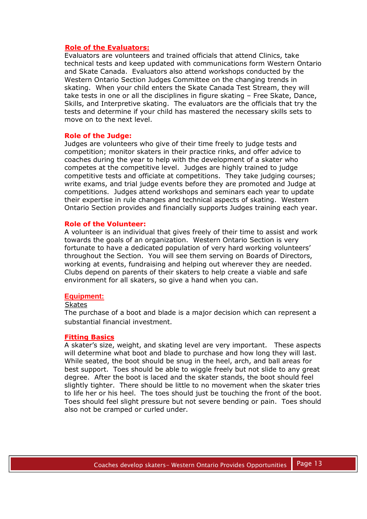#### **Role of the Evaluators:**

Evaluators are volunteers and trained officials that attend Clinics, take technical tests and keep updated with communications form Western Ontario and Skate Canada. Evaluators also attend workshops conducted by the Western Ontario Section Judges Committee on the changing trends in skating. When your child enters the Skate Canada Test Stream, they will take tests in one or all the disciplines in figure skating – Free Skate, Dance, Skills, and Interpretive skating. The evaluators are the officials that try the tests and determine if your child has mastered the necessary skills sets to move on to the next level.

#### **Role of the Judge:**

Judges are volunteers who give of their time freely to judge tests and competition; monitor skaters in their practice rinks, and offer advice to coaches during the year to help with the development of a skater who competes at the competitive level. Judges are highly trained to judge competitive tests and officiate at competitions. They take judging courses; write exams, and trial judge events before they are promoted and Judge at competitions. Judges attend workshops and seminars each year to update their expertise in rule changes and technical aspects of skating. Western Ontario Section provides and financially supports Judges training each year.

#### **Role of the Volunteer:**

A volunteer is an individual that gives freely of their time to assist and work towards the goals of an organization. Western Ontario Section is very fortunate to have a dedicated population of very hard working volunteers' throughout the Section. You will see them serving on Boards of Directors, working at events, fundraising and helping out wherever they are needed. Clubs depend on parents of their skaters to help create a viable and safe environment for all skaters, so give a hand when you can.

#### **Equipment:**

#### **Skates**

The purchase of a boot and blade is a major decision which can represent a substantial financial investment.

#### **Fitting Basics**

A skater's size, weight, and skating level are very important. These aspects will determine what boot and blade to purchase and how long they will last. While seated, the boot should be snug in the heel, arch, and ball areas for best support. Toes should be able to wiggle freely but not slide to any great degree. After the boot is laced and the skater stands, the boot should feel slightly tighter. There should be little to no movement when the skater tries to life her or his heel. The toes should just be touching the front of the boot. Toes should feel slight pressure but not severe bending or pain. Toes should also not be cramped or curled under.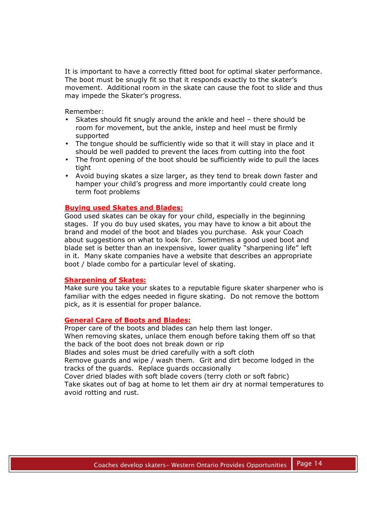It is important to have a correctly fitted boot for optimal skater performance. The boot must be snugly fit so that it responds exactly to the skater's movement. Additional room in the skate can cause the foot to slide and thus may impede the Skater's progress.

Remember:

- Skates should fit snugly around the ankle and heel there should be room for movement, but the ankle, instep and heel must be firmly supported
- The tongue should be sufficiently wide so that it will stay in place and it should be well padded to prevent the laces from cutting into the foot
- The front opening of the boot should be sufficiently wide to pull the laces tight
- Avoid buying skates a size larger, as they tend to break down faster and hamper your child's progress and more importantly could create long term foot problems

#### **Buying used Skates and Blades:**

Good used skates can be okay for your child, especially in the beginning stages. If you do buy used skates, you may have to know a bit about the brand and model of the boot and blades you purchase. Ask your Coach about suggestions on what to look for. Sometimes a good used boot and blade set is better than an inexpensive, lower quality "sharpening life" left in it. Many skate companies have a website that describes an appropriate boot / blade combo for a particular level of skating.

#### **Sharpening of Skates:**

Make sure you take your skates to a reputable figure skater sharpener who is familiar with the edges needed in figure skating. Do not remove the bottom pick, as it is essential for proper balance.

#### **General Care of Boots and Blades:**

Proper care of the boots and blades can help them last longer. When removing skates, unlace them enough before taking them off so that the back of the boot does not break down or rip Blades and soles must be dried carefully with a soft cloth Remove guards and wipe / wash them. Grit and dirt become lodged in the tracks of the guards. Replace guards occasionally

Cover dried blades with soft blade covers (terry cloth or soft fabric)

Take skates out of bag at home to let them air dry at normal temperatures to avoid rotting and rust.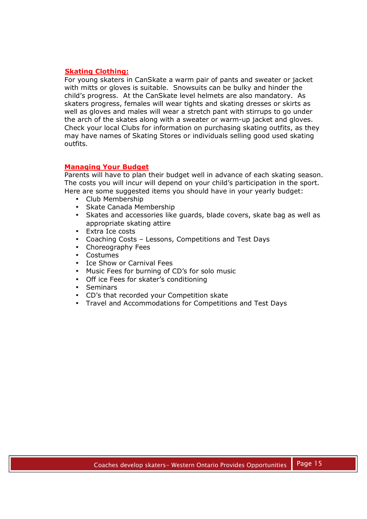## **Skating Clothing:**

For young skaters in CanSkate a warm pair of pants and sweater or jacket with mitts or gloves is suitable. Snowsuits can be bulky and hinder the child's progress. At the CanSkate level helmets are also mandatory. As skaters progress, females will wear tights and skating dresses or skirts as well as gloves and males will wear a stretch pant with stirrups to go under the arch of the skates along with a sweater or warm-up jacket and gloves. Check your local Clubs for information on purchasing skating outfits, as they may have names of Skating Stores or individuals selling good used skating outfits.

## **Managing Your Budget**

Parents will have to plan their budget well in advance of each skating season. The costs you will incur will depend on your child's participation in the sport. Here are some suggested items you should have in your yearly budget:

- Club Membership
- Skate Canada Membership
- Skates and accessories like guards, blade covers, skate bag as well as appropriate skating attire
- Extra Ice costs
- Coaching Costs Lessons, Competitions and Test Days
- Choreography Fees
- Costumes
- Ice Show or Carnival Fees
- Music Fees for burning of CD's for solo music
- Off ice Fees for skater's conditioning
- Seminars
- CD's that recorded your Competition skate
- Travel and Accommodations for Competitions and Test Days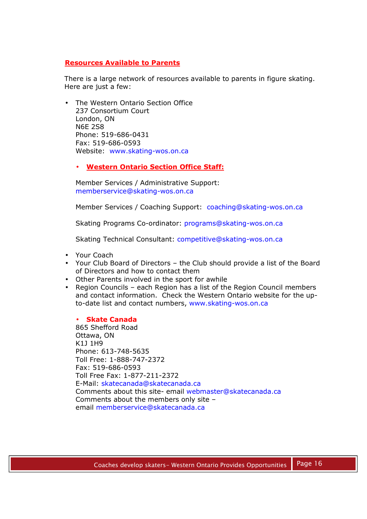## **Resources Available to Parents**

There is a large network of resources available to parents in figure skating. Here are just a few:

• The Western Ontario Section Office 237 Consortium Court London, ON N6E 2S8 Phone: 519-686-0431 Fax: 519-686-0593 Website: www.skating-wos.on.ca

## • **Western Ontario Section Office Staff:**

Member Services / Administrative Support: memberservice@skating-wos.on.ca

Member Services / Coaching Support: coaching@skating-wos.on.ca

Skating Programs Co-ordinator: programs@skating-wos.on.ca

Skating Technical Consultant: competitive@skating-wos.on.ca

- Your Coach
- Your Club Board of Directors the Club should provide a list of the Board of Directors and how to contact them
- Other Parents involved in the sport for awhile
- Region Councils each Region has a list of the Region Council members and contact information. Check the Western Ontario website for the upto-date list and contact numbers, www.skating-wos.on.ca

#### • **Skate Canada**

865 Shefford Road Ottawa, ON K1J 1H9 Phone: 613-748-5635 Toll Free: 1-888-747-2372 Fax: 519-686-0593 Toll Free Fax: 1-877-211-2372 E-Mail: skatecanada@skatecanada.ca Comments about this site- email webmaster@skatecanada.ca Comments about the members only site – email memberservice@skatecanada.ca